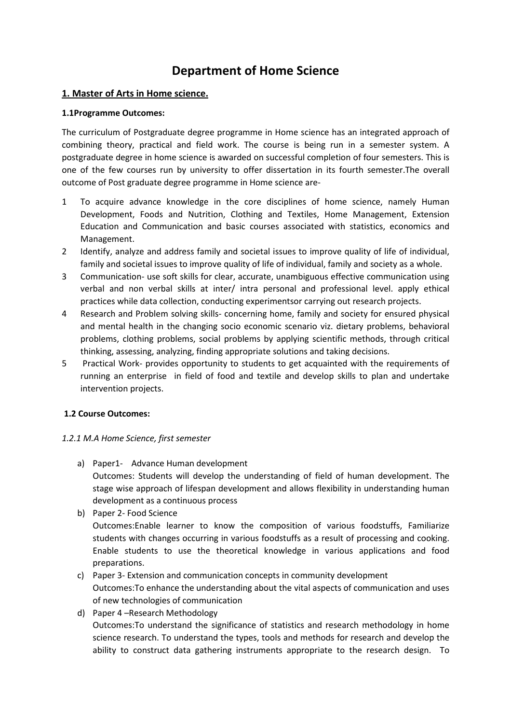# **Department of Home Science**

# **1. Master of Arts in Home science.**

### **1.1Programme Outcomes:**

The curriculum of Postgraduate degree programme in Home science has an integrated approach of combining theory, practical and field work. The course is being run in a semester system. A postgraduate degree in home science is awarded on successful completion of four semesters. This is one of the few courses run by university to offer dissertation in its fourth semester.The overall outcome of Post graduate degree programme in Home science are-

- 1 To acquire advance knowledge in the core disciplines of home science, namely Human Development, Foods and Nutrition, Clothing and Textiles, Home Management, Extension Education and Communication and basic courses associated with statistics, economics and Management.
- 2 Identify, analyze and address family and societal issues to improve quality of life of individual, family and societal issues to improve quality of life of individual, family and society as a whole.
- 3 Communication- use soft skills for clear, accurate, unambiguous effective communication using verbal and non verbal skills at inter/ intra personal and professional level. apply ethical practices while data collection, conducting experimentsor carrying out research projects.
- 4 Research and Problem solving skills- concerning home, family and society for ensured physical and mental health in the changing socio economic scenario viz. dietary problems, behavioral problems, clothing problems, social problems by applying scientific methods, through critical thinking, assessing, analyzing, finding appropriate solutions and taking decisions.
- 5 Practical Work- provides opportunity to students to get acquainted with the requirements of running an enterprise in field of food and textile and develop skills to plan and undertake intervention projects.

# **1.2 Course Outcomes:**

# *1.2.1 M.A Home Science, first semester*

- a) Paper1- Advance Human development Outcomes: Students will develop the understanding of field of human development. The stage wise approach of lifespan development and allows flexibility in understanding human development as a continuous process
- b) Paper 2- Food Science

Outcomes:Enable learner to know the composition of various foodstuffs, Familiarize students with changes occurring in various foodstuffs as a result of processing and cooking. Enable students to use the theoretical knowledge in various applications and food preparations.

- c) Paper 3- Extension and communication concepts in community development Outcomes:To enhance the understanding about the vital aspects of communication and uses of new technologies of communication
- d) Paper 4 –Research Methodology Outcomes:To understand the significance of statistics and research methodology in home science research. To understand the types, tools and methods for research and develop the ability to construct data gathering instruments appropriate to the research design. To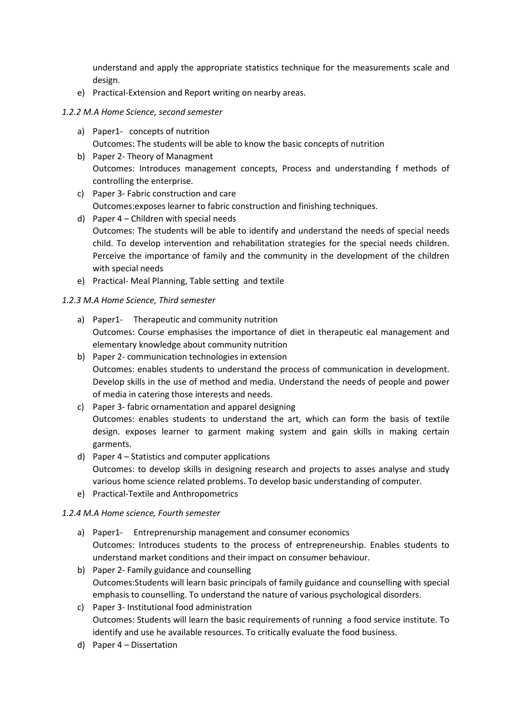understand and apply the appropriate statistics technique for the measurements scale and design.

e) Practical-Extension and Report writing on nearby areas.

#### *1.2.2 M.A Home Science, second semester*

- a) Paper1- concepts of nutrition Outcomes: The students will be able to know the basic concepts of nutrition
- b) Paper 2- Theory of Managment Outcomes: Introduces management concepts, Process and understanding f methods of controlling the enterprise.
- c) Paper 3- Fabric construction and care Outcomes:exposes learner to fabric construction and finishing techniques.
- d) Paper 4 Children with special needs Outcomes: The students will be able to identify and understand the needs of special needs child. To develop intervention and rehabilitation strategies for the special needs children. Perceive the importance of family and the community in the development of the children with special needs
- e) Practical- Meal Planning, Table setting and textile

# *1.2.3 M.A Home Science, Third semester*

- a) Paper1- Therapeutic and community nutrition Outcomes: Course emphasises the importance of diet in therapeutic eal management and elementary knowledge about community nutrition
- b) Paper 2- communication technologies in extension Outcomes: enables students to understand the process of communication in development. Develop skills in the use of method and media. Understand the needs of people and power of media in catering those interests and needs.
- c) Paper 3- fabric ornamentation and apparel designing Outcomes: enables students to understand the art, which can form the basis of textile design. exposes learner to garment making system and gain skills in making certain garments.
- d) Paper 4 Statistics and computer applications Outcomes: to develop skills in designing research and projects to asses analyse and study various home science related problems. To develop basic understanding of computer.
- e) Practical-Textile and Anthropometrics

# *1.2.4 M.A Home science, Fourth semester*

- a) Paper1- Entreprenurship management and consumer economics Outcomes: Introduces students to the process of entrepreneurship. Enables students to understand market conditions and their impact on consumer behaviour.
- b) Paper 2- Family guidance and counselling Outcomes:Students will learn basic principals of family guidance and counselling with special emphasis to counselling. To understand the nature of various psychological disorders.
- c) Paper 3- Institutional food administration Outcomes: Students will learn the basic requirements of running a food service institute. To identify and use he available resources. To critically evaluate the food business.
- d) Paper 4 Dissertation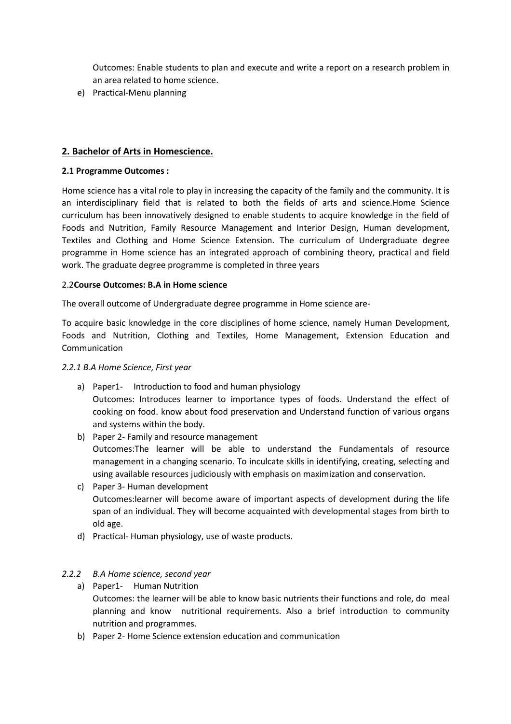Outcomes: Enable students to plan and execute and write a report on a research problem in an area related to home science.

e) Practical-Menu planning

# **2. Bachelor of Arts in Homescience.**

#### **2.1 Programme Outcomes :**

Home science has a vital role to play in increasing the capacity of the family and the community. It is an interdisciplinary field that is related to both the fields of arts and science.Home Science curriculum has been innovatively designed to enable students to acquire knowledge in the field of Foods and Nutrition, Family Resource Management and Interior Design, Human development, Textiles and Clothing and Home Science Extension. The curriculum of Undergraduate degree programme in Home science has an integrated approach of combining theory, practical and field work. The graduate degree programme is completed in three years

#### 2.2**Course Outcomes: B.A in Home science**

The overall outcome of Undergraduate degree programme in Home science are-

To acquire basic knowledge in the core disciplines of home science, namely Human Development, Foods and Nutrition, Clothing and Textiles, Home Management, Extension Education and Communication

#### *2.2.1 B.A Home Science, First year*

- a) Paper1- Introduction to food and human physiology Outcomes: Introduces learner to importance types of foods. Understand the effect of cooking on food. know about food preservation and Understand function of various organs and systems within the body.
- b) Paper 2- Family and resource management Outcomes:The learner will be able to understand the Fundamentals of resource management in a changing scenario. To inculcate skills in identifying, creating, selecting and using available resources judiciously with emphasis on maximization and conservation.
- c) Paper 3- Human development Outcomes:learner will become aware of important aspects of development during the life span of an individual. They will become acquainted with developmental stages from birth to old age.
- d) Practical- Human physiology, use of waste products.

#### *2.2.2 B.A Home science, second year*

- a) Paper1- Human Nutrition Outcomes: the learner will be able to know basic nutrients their functions and role, do meal planning and know nutritional requirements. Also a brief introduction to community nutrition and programmes.
- b) Paper 2- Home Science extension education and communication